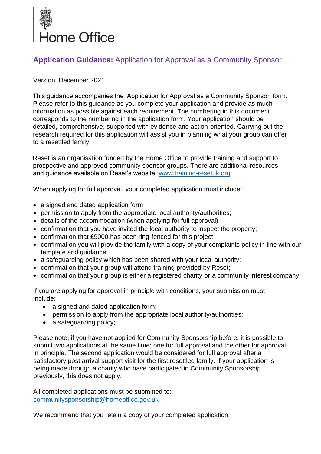

# **Application Guidance:** Application for Approval as a Community Sponsor

#### Version: December 2021

This guidance accompanies the 'Application for Approval as a Community Sponsor' form. Please refer to this guidance as you complete your application and provide as much information as possible against each requirement. The numbering in this document corresponds to the numbering in the application form. Your application should be detailed, comprehensive, supported with evidence and action-oriented. Carrying out the research required for this application will assist you in planning what your group can offer to a resettled family.

Reset is an organisation funded by the Home Office to provide training and support to prospective and approved community sponsor groups. There are additional resources and guidance available on Reset's website: [www.training-resetuk.org](http://www.training-resetuk.org/)

When applying for full approval, your completed application must include:

- a signed and dated application form;
- permission to apply from the appropriate local authority/authorities;
- details of the accommodation (when applying for full approval);
- confirmation that you have invited the local authority to inspect the property;
- confirmation that £9000 has been ring-fenced for this project;
- confirmation you will provide the family with a copy of your complaints policy in line with our template and guidance;
- a safeguarding policy which has been shared with your local authority;
- confirmation that your group will attend training provided by Reset;
- confirmation that your group is either a registered charity or a community interest company.

If you are applying for approval in principle with conditions, your submission must include:

- a signed and dated application form;
- permission to apply from the appropriate local authority/authorities;
- a safeguarding policy;

Please note, if you have not applied for Community Sponsorship before, it is possible to submit two applications at the same time; one for full approval and the other for approval in principle. The second application would be considered for full approval after a satisfactory post arrival support visit for the first resettled family. If your application is being made through a charity who have participated in Community Sponsorship previously, this does not apply.

All completed applications must be submitted to: [communitysponsorship@homeoffice.gov.uk](mailto:communitysponsorship@homeoffice.gov.uk)

We recommend that you retain a copy of your completed application.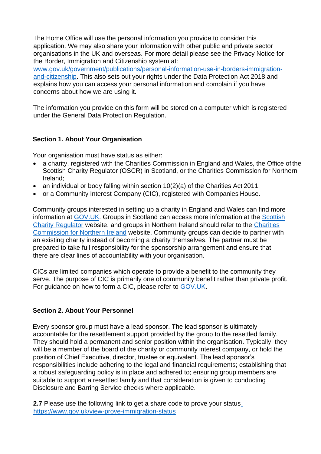The Home Office will use the personal information you provide to consider this application. We may also share your information with other public and private sector organisations in the UK and overseas. For more detail please see the Privacy Notice for the Border, Immigration and Citizenship system at:

[www.gov.uk/government/publications/personal-information-use-in-borders-immigration](https://www.gov.uk/government/publications/personal-information-use-in-borders-immigration-and-citizenship)[and-citizenship.](https://www.gov.uk/government/publications/personal-information-use-in-borders-immigration-and-citizenship) This also sets out your rights under the Data Protection Act 2018 and explains how you can access your personal information and complain if you have concerns about how we are using it.

The information you provide on this form will be stored on a computer which is registered under the General Data Protection Regulation.

### **Section 1. About Your Organisation**

Your organisation must have status as either:

- a charity, registered with the Charities Commission in England and Wales, the Office of the Scottish Charity Regulator (OSCR) in Scotland, or the Charities Commission for Northern Ireland;
- an individual or body falling within section 10(2)(a) of the Charities Act 2011;
- or a Community Interest Company (CIC), registered with Companies House.

Community groups interested in setting up a charity in England and Wales can find more information at [GOV.UK. G](https://www.gov.uk/setting-up-charity)roups in Scotland can access more information at the [Scottish](https://www.oscr.org.uk/becoming-a-charity) [Charity Regulator](https://www.oscr.org.uk/becoming-a-charity) website, and groups in Northern Ireland should refer to the [Charities](https://www.charitycommissionni.org.uk/start-up-a-charity) Commission for Northern Ireland website. Community groups can decide to partner with an existing charity instead of becoming a charity themselves. The partner must be prepared to take full responsibility for the sponsorship arrangement and ensure that there are clear lines of accountability with your organisation.

CICs are limited companies which operate to provide a benefit to the community they serve. The purpose of CIC is primarily one of community benefit rather than private profit. For guidance on how to form a CIC, please refer to [GOV.UK.](https://www.gov.uk/government/publications/community-interest-companies-how-to-form-a-cic)

### **Section 2. About Your Personnel**

Every sponsor group must have a lead sponsor. The lead sponsor is ultimately accountable for the resettlement support provided by the group to the resettled family. They should hold a permanent and senior position within the organisation. Typically, they will be a member of the board of the charity or community interest company, or hold the position of Chief Executive, director, trustee or equivalent. The lead sponsor's responsibilities include adhering to the legal and financial requirements; establishing that a robust safeguarding policy is in place and adhered to; ensuring group members are suitable to support a resettled family and that consideration is given to conducting Disclosure and Barring Service checks where applicable.

**2.7** Please use the following link to get a share code to prove your statu[s](https://www.gov.uk/view-prove-immigration-status) <https://www.gov.uk/view-prove-immigration-status>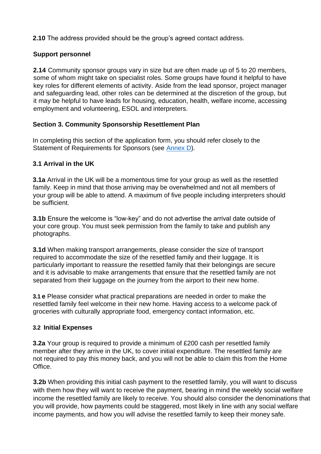**2.10** The address provided should be the group's agreed contact address.

### **Support personnel**

**2.14** Community sponsor groups vary in size but are often made up of 5 to 20 members, some of whom might take on specialist roles. Some groups have found it helpful to have key roles for different elements of activity. Aside from the lead sponsor, project manager and safeguarding lead, other roles can be determined at the discretion of the group, but it may be helpful to have leads for housing, education, health, welfare income, accessing employment and volunteering, ESOL and interpreters.

### **Section 3. Community Sponsorship Resettlement Plan**

In completing this section of the application form, you should refer closely to the Statement of Requirements for Sponsors (see [Annex D](#page-34-0)).

## **3.1 Arrival in the UK**

**3.1a** Arrival in the UK will be a momentous time for your group as well as the resettled family. Keep in mind that those arriving may be overwhelmed and not all members of your group will be able to attend. A maximum of five people including interpreters should be sufficient.

**3.1b** Ensure the welcome is "low-key" and do not advertise the arrival date outside of your core group. You must seek permission from the family to take and publish any photographs.

**3.1d** When making transport arrangements, please consider the size of transport required to accommodate the size of the resettled family and their luggage. It is particularly important to reassure the resettled family that their belongings are secure and it is advisable to make arrangements that ensure that the resettled family are not separated from their luggage on the journey from the airport to their new home.

**3.1 e** Please consider what practical preparations are needed in order to make the resettled family feel welcome in their new home. Having access to a welcome pack of groceries with culturally appropriate food, emergency contact information, etc.

### **3.2 Initial Expenses**

**3.2a** Your group is required to provide a minimum of £200 cash per resettled family member after they arrive in the UK, to cover initial expenditure. The resettled family are not required to pay this money back, and you will not be able to claim this from the Home Office.

**3.2b** When providing this initial cash payment to the resettled family, you will want to discuss with them how they will want to receive the payment, bearing in mind the weekly social welfare income the resettled family are likely to receive. You should also consider the denominations that you will provide, how payments could be staggered, most likely in line with any social welfare income payments, and how you will advise the resettled family to keep their money safe.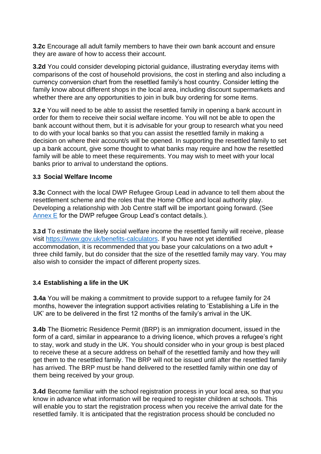**3.2c** Encourage all adult family members to have their own bank account and ensure they are aware of how to access their account.

**3.2d** You could consider developing pictorial guidance, illustrating everyday items with comparisons of the cost of household provisions, the cost in sterling and also including a currency conversion chart from the resettled family's host country. Consider letting the family know about different shops in the local area, including discount supermarkets and whether there are any opportunities to join in bulk buy ordering for some items.

**3.2 e** You will need to be able to assist the resettled family in opening a bank account in order for them to receive their social welfare income. You will not be able to open the bank account without them, but it is advisable for your group to research what you need to do with your local banks so that you can assist the resettled family in making a decision on where their account/s will be opened. In supporting the resettled family to set up a bank account, give some thought to what banks may require and how the resettled family will be able to meet these requirements. You may wish to meet with your local banks prior to arrival to understand the options.

#### **3.3 Social Welfare Income**

**3.3c** Connect with the local DWP Refugee Group Lead in advance to tell them about the resettlement scheme and the roles that the Home Office and local authority play. Developing a relationship with Job Centre staff will be important going forward. (See [Annex E](#page-36-0) for the DWP refugee Group Lead's contact details.).

**3.3 d** To estimate the likely social welfare income the resettled family will receive, please visit [https://www.gov.uk/benefits-calculators.](https://www.gov.uk/benefits-calculators) If you have not yet identified accommodation, it is recommended that you base your calculations on a two adult + three child family, but do consider that the size of the resettled family may vary. You may also wish to consider the impact of different property sizes.

### **3.4 Establishing a life in the UK**

**3.4a** You will be making a commitment to provide support to a refugee family for 24 months, however the integration support activities relating to 'Establishing a Life in the UK' are to be delivered in the first 12 months of the family's arrival in the UK.

**3.4b** The Biometric Residence Permit (BRP) is an immigration document, issued in the form of a card, similar in appearance to a driving licence, which proves a refugee's right to stay, work and study in the UK. You should consider who in your group is best placed to receive these at a secure address on behalf of the resettled family and how they will get them to the resettled family. The BRP will not be issued until after the resettled family has arrived. The BRP must be hand delivered to the resettled family within one day of them being received by your group.

**3.4d** Become familiar with the school registration process in your local area, so that you know in advance what information will be required to register children at schools. This will enable you to start the registration process when you receive the arrival date for the resettled family. It is anticipated that the registration process should be concluded no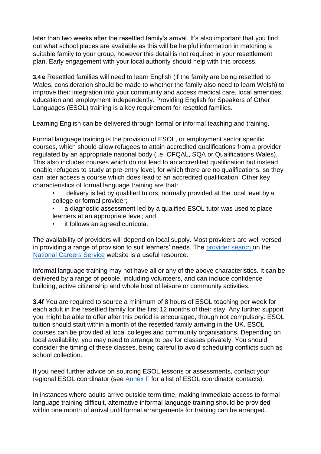later than two weeks after the resettled family's arrival. It's also important that you find out what school places are available as this will be helpful information in matching a suitable family to your group, however this detail is not required in your resettlement plan. Early engagement with your local authority should help with this process.

**3.4 e** Resettled families will need to learn English (if the family are being resettled to Wales, consideration should be made to whether the family also need to learn Welsh) to improve their integration into your community and access medical care, local amenities, education and employment independently. Providing English for Speakers of Other Languages (ESOL) training is a key requirement for resettled families.

Learning English can be delivered through formal or informal teaching and training.

Formal language training is the provision of ESOL, or employment sector specific courses, which should allow refugees to attain accredited qualifications from a provider regulated by an appropriate national body (i.e. OFQAL, SQA or Qualifications Wales). This also includes courses which do not lead to an accredited qualification but instead enable refugees to study at pre-entry level, for which there are no qualifications, so they can later access a course which does lead to an accredited qualification. Other key characteristics of formal language training are that:

• delivery is led by qualified tutors, normally provided at the local level by a college or formal provider;

- a diagnostic assessment led by a qualified ESOL tutor was used to place learners at an appropriate level; and
- it follows an agreed curricula.

The availability of providers will depend on local supply. Most providers are well-versed in providing a range of provision to suit learners' needs. The [provider search o](https://nationalcareersservice.direct.gov.uk/advice/courses/Pages/default.aspx)n the [National Careers Service](https://nationalcareers.service.gov.uk/) website is a useful resource.

Informal language training may not have all or any of the above characteristics. It can be delivered by a range of people, including volunteers, and can include confidence building, active citizenship and whole host of leisure or community activities.

**3.4f** You are required to source a minimum of 8 hours of ESOL teaching per week for each adult in the resettled family for the first 12 months of their stay. Any further support you might be able to offer after this period is encouraged, though not compulsory. ESOL tuition should start within a month of the resettled family arriving in the UK. ESOL courses can be provided at local colleges and community organisations. Depending on local availability, you may need to arrange to pay for classes privately. You should consider the timing of these classes, being careful to avoid scheduling conflicts such as school collection.

If you need further advice on sourcing ESOL lessons or assessments, contact your regional ESOL coordinator (see  $\frac{\text{Annex}}{\text{F}}$  for a list of ESOL coordinator contacts).

In instances where adults arrive outside term time, making immediate access to formal language training difficult, alternative informal language training should be provided within one month of arrival until formal arrangements for training can be arranged.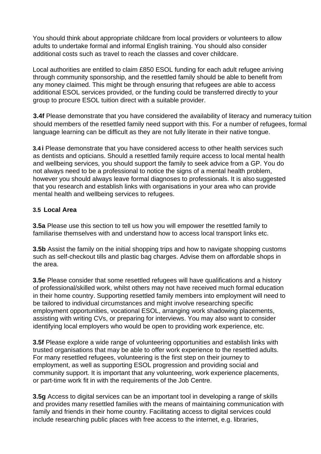You should think about appropriate childcare from local providers or volunteers to allow adults to undertake formal and informal English training. You should also consider additional costs such as travel to reach the classes and cover childcare.

Local authorities are entitled to claim £850 ESOL funding for each adult refugee arriving through community sponsorship, and the resettled family should be able to benefit from any money claimed. This might be through ensuring that refugees are able to access additional ESOL services provided, or the funding could be transferred directly to your group to procure ESOL tuition direct with a suitable provider.

**3.4f Please demonstrate that you have considered the availability of literacy and numeracy tuition** should members of the resettled family need support with this. For a number of refugees, formal language learning can be difficult as they are not fully literate in their native tongue.

**3.4 i** Please demonstrate that you have considered access to other health services such as dentists and opticians. Should a resettled family require access to local mental health and wellbeing services, you should support the family to seek advice from a GP. You do not always need to be a professional to notice the signs of a mental health problem, however you should always leave formal diagnoses to professionals. It is also suggested that you research and establish links with organisations in your area who can provide mental health and wellbeing services to refugees.

#### **3.5 Local Area**

**3.5a** Please use this section to tell us how you will empower the resettled family to familiarise themselves with and understand how to access local transport links etc.

**3.5b** Assist the family on the initial shopping trips and how to navigate shopping customs such as self-checkout tills and plastic bag charges. Advise them on affordable shops in the area.

**3.5e** Please consider that some resettled refugees will have qualifications and a history of professional/skilled work, whilst others may not have received much formal education in their home country. Supporting resettled family members into employment will need to be tailored to individual circumstances and might involve researching specific employment opportunities, vocational ESOL, arranging work shadowing placements, assisting with writing CVs, or preparing for interviews. You may also want to consider identifying local employers who would be open to providing work experience, etc.

**3.5f** Please explore a wide range of volunteering opportunities and establish links with trusted organisations that may be able to offer work experience to the resettled adults. For many resettled refugees, volunteering is the first step on their journey to employment, as well as supporting ESOL progression and providing social and community support. It is important that any volunteering, work experience placements, or part-time work fit in with the requirements of the Job Centre.

**3.5g** Access to digital services can be an important tool in developing a range of skills and provides many resettled families with the means of maintaining communication with family and friends in their home country. Facilitating access to digital services could include researching public places with free access to the internet, e.g. libraries,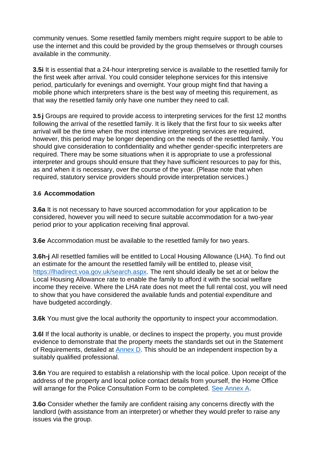community venues. Some resettled family members might require support to be able to use the internet and this could be provided by the group themselves or through courses available in the community.

**3.5i** It is essential that a 24-hour interpreting service is available to the resettled family for the first week after arrival. You could consider telephone services for this intensive period, particularly for evenings and overnight. Your group might find that having a mobile phone which interpreters share is the best way of meeting this requirement, as that way the resettled family only have one number they need to call.

**3.5 j** Groups are required to provide access to interpreting services for the first 12 months following the arrival of the resettled family. It is likely that the first four to six weeks after arrival will be the time when the most intensive interpreting services are required, however, this period may be longer depending on the needs of the resettled family. You should give consideration to confidentiality and whether gender-specific interpreters are required. There may be some situations when it is appropriate to use a professional interpreter and groups should ensure that they have sufficient resources to pay for this, as and when it is necessary, over the course of the year. (Please note that when required, statutory service providers should provide interpretation services.)

### **3.6 Accommodation**

**3.6a** It is not necessary to have sourced accommodation for your application to be considered, however you will need to secure suitable accommodation for a two-year period prior to your application receiving final approval.

**3.6e** Accommodation must be available to the resettled family for two years.

**3.6h-j** All resettled families will be entitled to Local Housing Allowance (LHA). To find out an estimate for the amount the resettled family will be entitled to, please visi[t](https://lha-direct.voa.gov.uk/search.aspx) [https://lhadirect.voa.gov.uk/search.aspx. T](https://lha-direct.voa.gov.uk/search.aspx)he rent should ideally be set at or below the Local Housing Allowance rate to enable the family to afford it with the social welfare income they receive. Where the LHA rate does not meet the full rental cost, you will need to show that you have considered the available funds and potential expenditure and have budgeted accordingly.

**3.6k** You must give the local authority the opportunity to inspect your accommodation.

**3.6l** If the local authority is unable, or declines to inspect the property, you must provide evidence to demonstrate that the property meets the standards set out in the Statement of Requirements, detailed at [Annex D.](#page-34-0) This should be an independent inspection by a suitably qualified professional.

**3.6n** You are required to establish a relationship with the local police. Upon receipt of the address of the property and local police contact details from yourself, the Home Office will arrange for the Police Consultation Form to be completed. [See Annex A.](#page-8-0)

**3.6o** Consider whether the family are confident raising any concerns directly with the landlord (with assistance from an interpreter) or whether they would prefer to raise any issues via the group.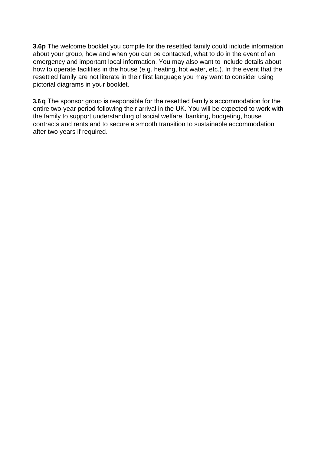**3.6p** The welcome booklet you compile for the resettled family could include information about your group, how and when you can be contacted, what to do in the event of an emergency and important local information. You may also want to include details about how to operate facilities in the house (e.g. heating, hot water, etc.). In the event that the resettled family are not literate in their first language you may want to consider using pictorial diagrams in your booklet.

**3.6 q** The sponsor group is responsible for the resettled family's accommodation for the entire two-year period following their arrival in the UK. You will be expected to work with the family to support understanding of social welfare, banking, budgeting, house contracts and rents and to secure a smooth transition to sustainable accommodation after two years if required.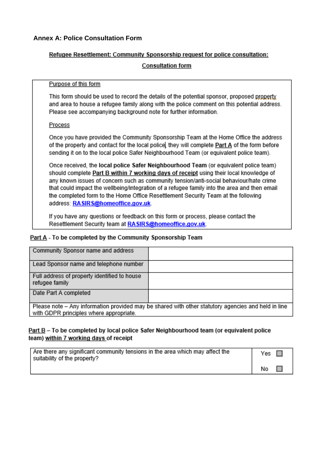#### <span id="page-8-0"></span>**Annex A: Police Consultation Form**

#### Refugee Resettlement: Community Sponsorship request for police consultation:

#### **Consultation form**

#### Purpose of this form

This form should be used to record the details of the potential sponsor, proposed property and area to house a refugee family along with the police comment on this potential address. Please see accompanying background note for further information.

#### Process

Once you have provided the Community Sponsorship Team at the Home Office the address of the property and contact for the local police they will complete Part A of the form before sending it on to the local police Safer Neighbourhood Team (or equivalent police team).

Once received, the local police Safer Neighbourhood Team (or equivalent police team) should complete Part B within 7 working days of receipt using their local knowledge of any known issues of concern such as community tension/anti-social behaviour/hate crime that could impact the wellbeing/integration of a refugee family into the area and then email the completed form to the Home Office Resettlement Security Team at the following address: RASIRS@homeoffice.gov.uk.

If you have any questions or feedback on this form or process, please contact the Resettlement Security team at RASIRS@homeoffice.gov.uk.

#### Part A - To be completed by the Community Sponsorship Team

| Community Sponsor name and address                                                                                                             |  |
|------------------------------------------------------------------------------------------------------------------------------------------------|--|
| Lead Sponsor name and telephone number                                                                                                         |  |
| Full address of property identified to house<br>refugee family                                                                                 |  |
| Date Part A completed                                                                                                                          |  |
| Please note - Any information provided may be shared with other statutory agencies and held in line<br>with GDPR principles where appropriate. |  |

#### <u>Part B</u> – To be completed by local police Safer Neighbourhood team (or equivalent police team) within 7 working days of receipt

| Are there any significant community tensions in the area which may affect the<br>suitability of the property? | Yes |
|---------------------------------------------------------------------------------------------------------------|-----|
|                                                                                                               | No  |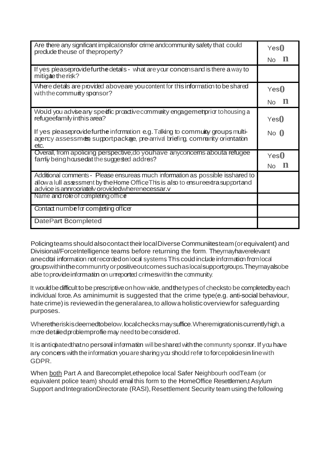| Are there any significant impilcationsfor crime andcommunity safety that could<br>predude theuse of theproperty?                                                                                                        | Yes()       |
|-------------------------------------------------------------------------------------------------------------------------------------------------------------------------------------------------------------------------|-------------|
|                                                                                                                                                                                                                         | Nο          |
| If yes pleaseprovidefurthedetals - what are your concensand is there a way to<br>mitigaetherisk?                                                                                                                        |             |
| Where detals are provided aboveare you content for this information to be shared<br>with the communty sponsor?                                                                                                          | Yes()       |
|                                                                                                                                                                                                                         | No          |
| Would you advise any spectic proactive community engagemet prior to housing a<br>refugeefamily inthis area?                                                                                                             | Yes()       |
| If yes please provide furthe information e.g. Taking to community groups multi-<br>agency assessmes supportpackae, pre-arrival briefing, community orientation<br>etc.                                                  | $No$ $()$   |
| Overall, from apolicing perspective, do you have any concerns abouta refugee<br>famiy being housed at the suggested addres?                                                                                             | Yes()<br>N٥ |
| Additional comments - Please ensureas much information as possible isshared to<br>allow a lull assessment by the Home Office This is also to ensure extra supportand<br>advice is annrooriately orovidedwherenecessar.v |             |
| Name and role of completing office                                                                                                                                                                                      |             |
| Contact numbe for competing officer                                                                                                                                                                                     |             |
| DatePart Bcompleted                                                                                                                                                                                                     |             |

Policingteams shouldalsocontacttheirlocalDiverse Communiitesteam(orequivalent) and Divisional/ForceIntelligence teams before returning the form. Theymayhaverelevant anecda information not recorded on local systems. This could include information from local groupswithinthecommunrtyorpositiveoutcomessuchaslocalsupportgroups.Theymayalsobe able to provide information on urreported crimes within the community.

It would be difficult to be prescriptive on how wide, and the types of checksto be completedby each individual force. As aminimumit is suggested that the crime type(e.g. anti-social behaviour, hate crime) is reviewed in the general area, to allow a holistic overview for safeguarding purposes.

Wheretheriskisdeemedtobelow, localchecks may suffice. Wheremigration is currently high, a more detailed problemprofile may need to be considered.

It is anticpiated that no personal information will be shared with the community sponsor. If you have any concers with the information you are sharing you should refer to forcepolicies in line with GDPR.

When both Part A and Barecomplet,ethepolice local Safer Neighbourh oodTeam (or equivalent police team) should email this form to the HomeOffice Resettlemen,t Asylum Support and IntegrationDirectorate (RASI), Resettlement Security team using the following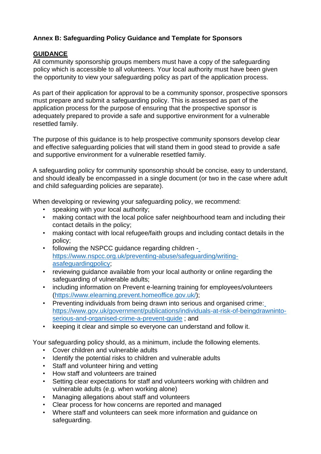# **Annex B: Safeguarding Policy Guidance and Template for Sponsors**

# **GUIDANCE**

All community sponsorship groups members must have a copy of the safeguarding policy which is accessible to all volunteers. Your local authority must have been given the opportunity to view your safeguarding policy as part of the application process.

As part of their application for approval to be a community sponsor, prospective sponsors must prepare and submit a safeguarding policy. This is assessed as part of the application process for the purpose of ensuring that the prospective sponsor is adequately prepared to provide a safe and supportive environment for a vulnerable resettled family.

The purpose of this guidance is to help prospective community sponsors develop clear and effective safeguarding policies that will stand them in good stead to provide a safe and supportive environment for a vulnerable resettled family.

A safeguarding policy for community sponsorship should be concise, easy to understand, and should ideally be encompassed in a single document (or two in the case where adult and child safeguarding policies are separate).

When developing or reviewing your safeguarding policy, we recommend:

- speaking with your local authority;
- making contact with the local police safer neighbourhood team and including their contact details in the policy;
- making contact with local refugee/faith groups and including contact details in the policy;
- following the NSPCC guidance regarding children  [https://www.nspcc.org.uk/preventing-abuse/safeguarding/writing](https://www.nspcc.org.uk/preventing-abuse/safeguarding/writing-asafeguarding-policy)[asafeguardingpolicy;](https://www.nspcc.org.uk/preventing-abuse/safeguarding/writing-asafeguarding-policy)
- reviewing guidance available from your local authority or online regarding the safeguarding of vulnerable adults;
- including information on Prevent e-learning training for employees/volunteer[s](https://www.elearning.prevent.homeoffice.gov.uk/) [\(https://www.elearning.prevent.homeoffice.gov.uk/\);](https://www.elearning.prevent.homeoffice.gov.uk/)
- Preventing individuals from being drawn into serious and organised crime[:](https://www.gov.uk/government/publications/individuals-at-risk-of-beingdrawn-into-serious-and-organised-crime-a-prevent-guide) [https://www.gov.uk/government/publications/individuals-at-risk-of-beingdrawninto](https://www.gov.uk/government/publications/individuals-at-risk-of-beingdrawn-into-serious-and-organised-crime-a-prevent-guide)[serious-and-organised-crime-a-prevent-guide](https://www.gov.uk/government/publications/individuals-at-risk-of-beingdrawn-into-serious-and-organised-crime-a-prevent-guide) ; and
- keeping it clear and simple so everyone can understand and follow it.

Your safeguarding policy should, as a minimum, include the following elements.

- Cover children and vulnerable adults
- Identify the potential risks to children and vulnerable adults
- Staff and volunteer hiring and vetting
- How staff and volunteers are trained
- Setting clear expectations for staff and volunteers working with children and vulnerable adults (e.g. when working alone)
- Managing allegations about staff and volunteers
- Clear process for how concerns are reported and managed
- Where staff and volunteers can seek more information and guidance on safeguarding.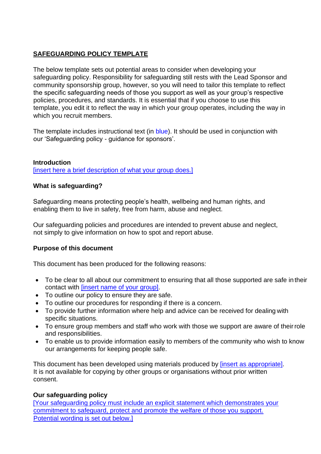# **SAFEGUARDING POLICY TEMPLATE**

The below template sets out potential areas to consider when developing your safeguarding policy. Responsibility for safeguarding still rests with the Lead Sponsor and community sponsorship group, however, so you will need to tailor this template to reflect the specific safeguarding needs of those you support as well as your group's respective policies, procedures, and standards. It is essential that if you choose to use this template, you edit it to reflect the way in which your group operates, including the way in which you recruit members.

The template includes instructional text (in blue). It should be used in conjunction with our 'Safeguarding policy - guidance for sponsors'.

#### **Introduction**

[insert here a brief description of what your group does.]

#### **What is safeguarding?**

Safeguarding means protecting people's health, wellbeing and human rights, and enabling them to live in safety, free from harm, abuse and neglect.

Our safeguarding policies and procedures are intended to prevent abuse and neglect, not simply to give information on how to spot and report abuse.

#### **Purpose of this document**

This document has been produced for the following reasons:

- To be clear to all about our commitment to ensuring that all those supported are safe in their contact with [insert name of your group].
- To outline our policy to ensure they are safe.
- To outline our procedures for responding if there is a concern.
- To provide further information where help and advice can be received for dealing with specific situations.
- To ensure group members and staff who work with those we support are aware of theirrole and responsibilities.
- To enable us to provide information easily to members of the community who wish to know our arrangements for keeping people safe.

This document has been developed using materials produced by [insert as appropriate]. It is not available for copying by other groups or organisations without prior written consent.

#### **Our safeguarding policy**

[Your safeguarding policy must include an explicit statement which demonstrates your commitment to safeguard, protect and promote the welfare of those you support. Potential wording is set out below.]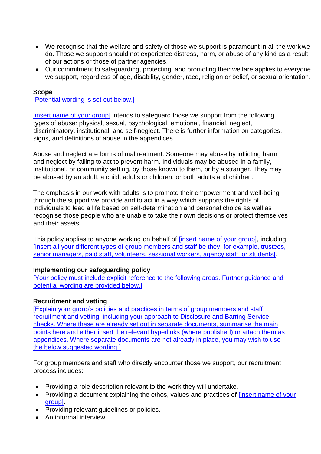- We recognise that the welfare and safety of those we support is paramount in all the work we do. Those we support should not experience distress, harm, or abuse of any kind as a result of our actions or those of partner agencies.
- Our commitment to safeguarding, protecting, and promoting their welfare applies to everyone we support, regardless of age, disability, gender, race, religion or belief, or sexual orientation.

#### **Scope**

[Potential wording is set out below.]

[insert name of your group] intends to safeguard those we support from the following types of abuse: physical, sexual, psychological, emotional, financial, neglect, discriminatory, institutional, and self-neglect. There is further information on categories, signs, and definitions of abuse in the appendices.

Abuse and neglect are forms of maltreatment. Someone may abuse by inflicting harm and neglect by failing to act to prevent harm. Individuals may be abused in a family, institutional, or community setting, by those known to them, or by a stranger. They may be abused by an adult, a child, adults or children, or both adults and children.

The emphasis in our work with adults is to promote their empowerment and well-being through the support we provide and to act in a way which supports the rights of individuals to lead a life based on self-determination and personal choice as well as recognise those people who are unable to take their own decisions or protect themselves and their assets.

This policy applies to anyone working on behalf of *[insert name of your group]*, including [insert all your different types of group members and staff be they, for example, trustees, senior managers, paid staff, volunteers, sessional workers, agency staff, or students].

#### **Implementing our safeguarding policy**

[Your policy must include explicit reference to the following areas. Further guidance and potential wording are provided below.]

#### **Recruitment and vetting**

[Explain your group's policies and practices in terms of group members and staff recruitment and vetting, including your approach to Disclosure and Barring Service checks. Where these are already set out in separate documents, summarise the main points here and either insert the relevant hyperlinks (where published) or attach them as appendices. Where separate documents are not already in place, you may wish to use the below suggested wording.]

For group members and staff who directly encounter those we support, our recruitment process includes:

- Providing a role description relevant to the work they will undertake.
- Providing a document explaining the ethos, values and practices of *[insert name of your* group].
- Providing relevant guidelines or policies.
- An informal interview.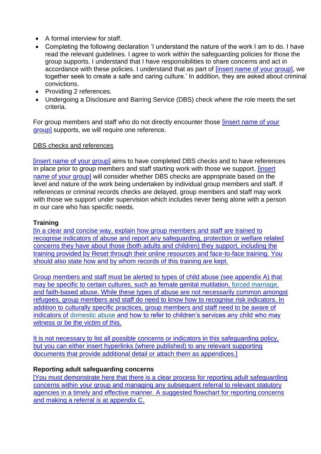- A formal interview for staff.
- Completing the following declaration 'I understand the nature of the work I am to do. I have read the relevant guidelines. I agree to work within the safeguarding policies for those the group supports. I understand that I have responsibilities to share concerns and act in accordance with these policies. I understand that as part of [insert name of your group], we together seek to create a safe and caring culture.' In addition, they are asked about criminal convictions.
- Providing 2 references.
- Undergoing a Disclosure and Barring Service (DBS) check where the role meets the set criteria.

For group members and staff who do not directly encounter those [insert name of your group] supports, we will require one reference.

### DBS checks and references

[insert name of your group] aims to have completed DBS checks and to have references in place prior to group members and staff starting work with those we support. [insert name of your group] will consider whether DBS checks are appropriate based on the level and nature of the work being undertaken by individual group members and staff. If references or criminal records checks are delayed, group members and staff may work with those we support under supervision which includes never being alone with a person in our care who has specific needs.

### **Training**

[In a clear and concise way, explain how group members and staff are trained to recognise indicators of abuse and report any safeguarding, protection or welfare related concerns they have about those (both adults and children) they support, including the training provided by Reset through their online resources and face-to-face training. You should also state how and by whom records of this training are kept.

Group members and staff must be alerted to types of child abuse (see appendix A) that may be specific to certain cultures, such as [female genital mutilation,](https://www.gov.uk/government/publications/female-genital-mutilation-guidelines) [forced marriage,](https://www.gov.uk/guidance/forced-marriage) and faith-based abuse. While these types of abuse are not necessarily common amongst refugees, group members and staff do need to know how to recognise risk indicators. In addition to culturally specific practices, group members and staff need to be aware of indicators of [domestic abuse](https://www.gov.uk/guidance/domestic-abuse-how-to-get-help) and how to refer to children's services any child who may witness or be the victim of this.

It is not necessary to list all possible concerns or indicators in this safeguarding policy, but you can either insert hyperlinks (where published) to any relevant supporting documents that provide additional detail or attach them as appendices.]

### **Reporting adult safeguarding concerns**

[You must demonstrate here that there is a clear process for reporting adult safeguarding concerns within your group and managing any subsequent referral to relevant statutory agencies in a timely and effective manner. A suggested flowchart for reporting concerns and making a referral is at appendix C.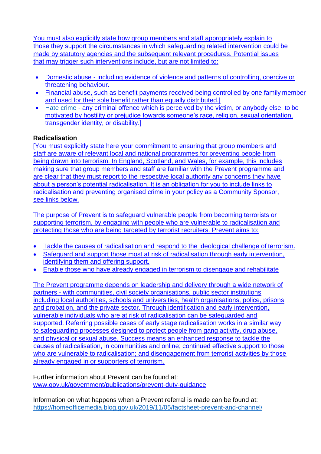You must also explicitly state how group members and staff appropriately explain to those they support the circumstances in which safeguarding related intervention could be made by statutory agencies and the subsequent relevant procedures. Potential issues that may trigger such interventions include, but are not limited to:

- Domestic abuse including evidence of violence and patterns of controlling, coercive or threatening behaviour.
- Financial abuse, such as benefit payments received being controlled by one family member and used for their sole benefit rather than equally distributed.]
- [Hate crime](https://hatecrime.campaign.gov.uk/) any criminal offence which is perceived by the victim, or anybody else, to be motivated by hostility or prejudice towards someone's race, religion, sexual orientation, transgender identity, or disability.]

# **Radicalisation**

[You must explicitly state here your commitment to ensuring that group members and staff are aware of relevant local and national programmes for preventing people from being drawn into terrorism. In England, Scotland, and Wales, for example, this includes making sure that group members and staff are familiar with the Prevent programme and are clear that they must report to the respective local authority any concerns they have about a person's potential radicalisation. It is an obligation for you to include links to radicalisation and preventing organised crime in your policy as a Community Sponsor, see links below.

The purpose of Prevent is to safeguard vulnerable people from becoming terrorists or supporting terrorism, by engaging with people who are vulnerable to radicalisation and protecting those who are being targeted by terrorist recruiters. Prevent aims to:

- Tackle the causes of radicalisation and respond to the ideological challenge of terrorism.
- Safeguard and support those most at risk of radicalisation through early intervention, identifying them and offering support.
- Enable those who have already engaged in terrorism to disengage and rehabilitate

The Prevent programme depends on leadership and delivery through a wide network of partners - with communities, civil society organisations, public sector institutions including local authorities, schools and universities, health organisations, police, prisons and probation, and the private sector. Through identification and early intervention, vulnerable individuals who are at risk of radicalisation can be safeguarded and supported. Referring possible cases of early stage radicalisation works in a similar way to safeguarding processes designed to protect people from gang activity, drug abuse, and physical or sexual abuse. Success means an enhanced response to tackle the causes of radicalisation, in communities and online; continued effective support to those who are vulnerable to radicalisation; and disengagement from terrorist activities by those already engaged in or supporters of terrorism.

Further information about Prevent can be found at: [www.gov.uk/government/publications/prevent-duty-guidance](http://www.gov.uk/government/publications/prevent-duty-guidance)

Information on what happens when a Prevent referral is made can be found at: <https://homeofficemedia.blog.gov.uk/2019/11/05/factsheet-prevent-and-channel/>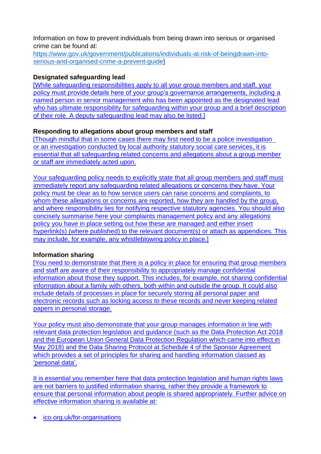Information on how to prevent individuals from being drawn into serious or organised crime can be found at:

[https://www.gov.uk/government/publications/individuals-at-risk-of-beingdrawn-into](https://www.gov.uk/government/publications/individuals-at-risk-of-beingdrawn-into-serious-and-organised-crime-a-prevent-guide)[serious-and-organised-crime-a-prevent-guide\]](https://www.gov.uk/government/publications/individuals-at-risk-of-beingdrawn-into-serious-and-organised-crime-a-prevent-guide)

#### **Designated safeguarding lead**

[While safeguarding responsibilities apply to all your group members and staff, your policy must provide details here of your group's governance arrangements, including a named person in senior management who has been appointed as the designated lead who has ultimate responsibility for safeguarding within your group and a brief description of their role. A deputy safeguarding lead may also be listed.]

### **Responding to allegations about group members and staff**

[Though mindful that in some cases there may first need to be a police investigation or an investigation conducted by local authority statutory social care services, it is essential that all safeguarding related concerns and allegations about a group member or staff are immediately acted upon.

Your safeguarding policy needs to explicitly state that all group members and staff must immediately report any safeguarding related allegations or concerns they have. Your policy must be clear as to how service users can raise concerns and complaints, to whom these allegations or concerns are reported, how they are handled by the group, and where responsibility lies for notifying respective statutory agencies. You should also concisely summarise here your complaints management policy and any allegations policy you have in place setting out how these are managed and either insert hyperlink(s) (where published) to the relevant document(s) or attach as appendices. This may include, for example, any whistleblowing policy in place.]

### **Information sharing**

[You need to demonstrate that there is a policy in place for ensuring that group members and staff are aware of their responsibility to appropriately manage confidential information about those they support. This includes, for example, not sharing confidential information about a family with others, both within and outside the group. It could also include details of processes in place for securely storing all personal paper and electronic records such as locking access to these records and never keeping related papers in personal storage.

Your policy must also demonstrate that your group manages information in line with relevant data protection legislation and guidance (such as the Data Protection Act 2018 and the European Union General Data Protection Regulation which came into effect in May 2018) and the Data Sharing Protocol at Schedule 4 of the Sponsor Agreement which provides a set of principles for sharing and handling information classed as 'personal data'.

It is essential you remember here that data protection legislation and human rights laws are not barriers to justified information sharing, rather they provide a framework to ensure that personal information about people is shared appropriately. Further advice on effective information sharing is available at:

• [ico.org.uk/for-organisations](https://ico.org.uk/for-organisations)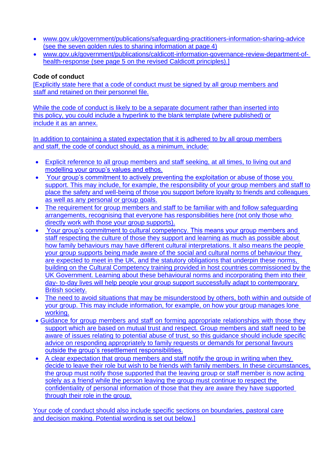- [www.gov.uk/government/publications/safeguarding-practitioners-information-sharing-advice](http://www.gov.uk/government/publications/safeguarding-practitioners-information-sharing-advice) (see the seven golden rules to sharing information at page 4)
- [www.gov.uk/government/publications/caldicott-information-governance-review-department-of](http://www.gov.uk/government/publications/caldicott-information-governance-review-department-of-health-response)[health-response \(](http://www.gov.uk/government/publications/caldicott-information-governance-review-department-of-health-response)see page 5 on the revised Caldicott principles).]

#### **Code of conduct**

[Explicitly state here that a code of conduct must be signed by all group members and staff and retained on their personnel file.

While the code of conduct is likely to be a separate document rather than inserted into this policy, you could include a hyperlink to the blank template (where published) or include it as an annex.

In addition to containing a stated expectation that it is adhered to by all group members and staff, the code of conduct should, as a minimum, include:

- Explicit reference to all group members and staff seeking, at all times, to living out and modelling your group's values and ethos.
- Your group's commitment to actively preventing the exploitation or abuse of those you support. This may include, for example, the responsibility of your group members and staff to place the safety and well-being of those you support before loyalty to friends and colleagues as well as any personal or group goals.
- The requirement for group members and staff to be familiar with and follow safeguarding arrangements, recognising that everyone has responsibilities here (not only those who directly work with those your group supports).
- Your group's commitment to cultural competency. This means your group members and staff respecting the culture of those they support and learning as much as possible about how family behaviours may have different cultural interpretations. It also means the people your group supports being made aware of the social and cultural norms of behaviour they are expected to meet in the UK, and the statutory obligations that underpin these norms, building on the Cultural Competency training provided in host countries commissioned by the UK Government. Learning about these behavioural norms and incorporating them into their day- to-day lives will help people your group support successfully adapt to contemporary British society.
- The need to avoid situations that may be misunderstood by others, both within and outside of your group. This may include information, for example, on how your group manages lone working.
- Guidance for group members and staff on forming appropriate relationships with those they support which are based on mutual trust and respect. Group members and staff need to be aware of issues relating to potential abuse of trust, so this guidance should include specific advice on responding appropriately to family requests or demands for personal favours outside the group's resettlement responsibilities.
- A clear expectation that group members and staff notify the group in writing when they decide to leave their role but wish to be friends with family members. In these circumstances, the group must notify those supported that the leaving group or staff member is now acting solely as a friend while the person leaving the group must continue to respect the confidentiality of personal information of those that they are aware they have supported through their role in the group.

Your code of conduct should also include specific sections on boundaries, pastoral care and decision making. Potential wording is set out below.]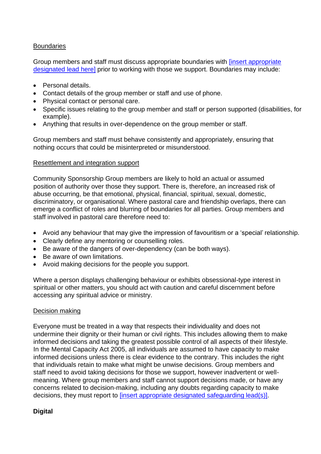### **Boundaries**

Group members and staff must discuss appropriate boundaries with [insert appropriate designated lead here] prior to working with those we support. Boundaries may include:

- Personal details.
- Contact details of the group member or staff and use of phone.
- Physical contact or personal care.
- Specific issues relating to the group member and staff or person supported (disabilities, for example).
- Anything that results in over-dependence on the group member or staff.

Group members and staff must behave consistently and appropriately, ensuring that nothing occurs that could be misinterpreted or misunderstood.

#### Resettlement and integration support

Community Sponsorship Group members are likely to hold an actual or assumed position of authority over those they support. There is, therefore, an increased risk of abuse occurring, be that emotional, physical, financial, spiritual, sexual, domestic, discriminatory, or organisational. Where pastoral care and friendship overlaps, there can emerge a conflict of roles and blurring of boundaries for all parties. Group members and staff involved in pastoral care therefore need to:

- Avoid any behaviour that may give the impression of favouritism or a 'special' relationship.
- Clearly define any mentoring or counselling roles.
- Be aware of the dangers of over-dependency (can be both ways).
- Be aware of own limitations.
- Avoid making decisions for the people you support.

Where a person displays challenging behaviour or exhibits obsessional-type interest in spiritual or other matters, you should act with caution and careful discernment before accessing any spiritual advice or ministry.

#### Decision making

Everyone must be treated in a way that respects their individuality and does not undermine their dignity or their human or civil rights. This includes allowing them to make informed decisions and taking the greatest possible control of all aspects of their lifestyle. In the Mental Capacity Act 2005, all individuals are assumed to have capacity to make informed decisions unless there is clear evidence to the contrary. This includes the right that individuals retain to make what might be unwise decisions. Group members and staff need to avoid taking decisions for those we support, however inadvertent or wellmeaning. Where group members and staff cannot support decisions made, or have any concerns related to decision-making, including any doubts regarding capacity to make decisions, they must report to [insert appropriate designated safeguarding lead(s)].

#### **Digital**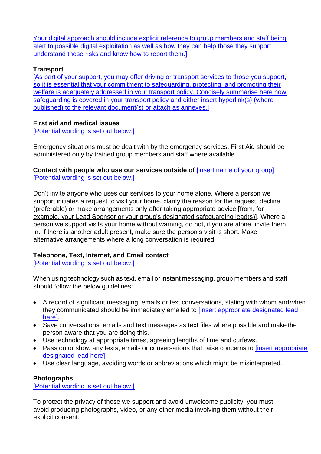Your digital approach should include explicit reference to group members and staff being alert to possible digital exploitation as well as how they can help those they support understand these risks and know how to report them.]

### **Transport**

[As part of your support, you may offer driving or transport services to those you support, so it is essential that your commitment to safeguarding, protecting, and promoting their welfare is adequately addressed in your transport policy. Concisely summarise here how safeguarding is covered in your transport policy and either insert hyperlink(s) (where published) to the relevant document(s) or attach as annexes.]

### **First aid and medical issues**

[Potential wording is set out below.]

Emergency situations must be dealt with by the emergency services. First Aid should be administered only by trained group members and staff where available.

**Contact with people who use our services outside of** *[insert name of your group]* [Potential wording is set out below.]

Don't invite anyone who uses our services to your home alone. Where a person we support initiates a request to visit your home, clarify the reason for the request, decline (preferable) or make arrangements only after taking appropriate advice [from, for example, your Lead Sponsor or your group's designated safeguarding lead(s)]. Where a person we support visits your home without warning, do not, if you are alone, invite them in. If there is another adult present, make sure the person's visit is short. Make alternative arrangements where a long conversation is required.

# **Telephone, Text, Internet, and Email contact**

[Potential wording is set out below.]

When using technology such as text, email or instant messaging, group members and staff should follow the below guidelines:

- A record of significant messaging, emails or text conversations, stating with whom and when they communicated should be immediately emailed to [insert appropriate designated lead here].
- Save conversations, emails and text messages as text files where possible and make the person aware that you are doing this.
- Use technology at appropriate times, agreeing lengths of time and curfews.
- Pass on or show any texts, emails or conversations that raise concerns to *[insert appropriate* designated lead here].
- Use clear language, avoiding words or abbreviations which might be misinterpreted.

# **Photographs**

[Potential wording is set out below.]

To protect the privacy of those we support and avoid unwelcome publicity, you must avoid producing photographs, video, or any other media involving them without their explicit consent.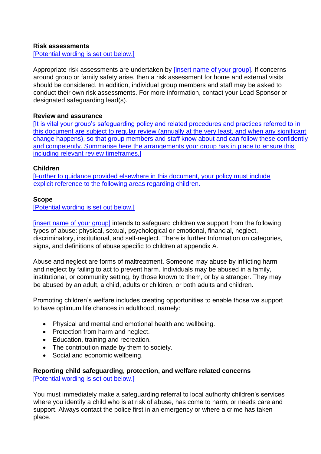#### **Risk assessments**

[Potential wording is set out below.]

Appropriate risk assessments are undertaken by *[insert name of your group]*. If concerns around group or family safety arise, then a risk assessment for home and external visits should be considered. In addition, individual group members and staff may be asked to conduct their own risk assessments. For more information, contact your Lead Sponsor or designated safeguarding lead(s).

#### **Review and assurance**

[It is vital your group's safeguarding policy and related procedures and practices referred to in this document are subject to regular review (annually at the very least, and when any significant change happens), so that group members and staff know about and can follow these confidently and competently. Summarise here the arrangements your group has in place to ensure this, including relevant review timeframes.]

#### **Children**

[Further to guidance provided elsewhere in this document, your policy must include explicit reference to the following areas regarding children.

#### **Scope**

[Potential wording is set out below.]

[insert name of your group] intends to safeguard children we support from the following types of abuse: physical, sexual, psychological or emotional, financial, neglect, discriminatory, institutional, and self-neglect. There is further Information on categories, signs, and definitions of abuse specific to children at appendix A.

Abuse and neglect are forms of maltreatment. Someone may abuse by inflicting harm and neglect by failing to act to prevent harm. Individuals may be abused in a family, institutional, or community setting, by those known to them, or by a stranger. They may be abused by an adult, a child, adults or children, or both adults and children.

Promoting children's welfare includes creating opportunities to enable those we support to have optimum life chances in adulthood, namely:

- Physical and mental and emotional health and wellbeing.
- Protection from harm and neglect.
- Education, training and recreation.
- The contribution made by them to society.
- Social and economic wellbeing.

#### **Reporting child safeguarding, protection, and welfare related concerns** [Potential wording is set out below.]

You must immediately make a safeguarding referral to local authority children's services where you identify a child who is at risk of abuse, has come to harm, or needs care and support. Always contact the police first in an emergency or where a crime has taken place.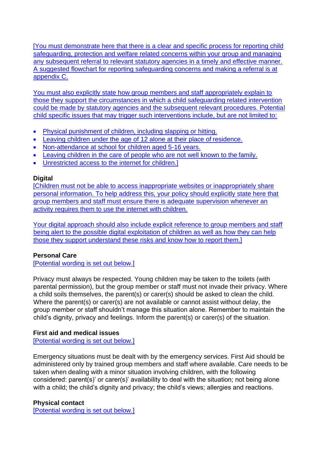[You must demonstrate here that there is a clear and specific process for reporting child safeguarding, protection and welfare related concerns within your group and managing any subsequent referral to relevant statutory agencies in a timely and effective manner. A suggested flowchart for reporting safeguarding concerns and making a referral is at appendix C.

You must also explicitly state how group members and staff appropriately explain to those they support the circumstances in which a child safeguarding related intervention could be made by statutory agencies and the subsequent relevant procedures. Potential child specific issues that may trigger such interventions include, but are not limited to:

- Physical punishment of children, including slapping or hitting.
- Leaving children under the age of 12 alone at their place of residence.
- Non-attendance at school for children aged 5-16 years.
- Leaving children in the care of people who are not well known to the family.
- Unrestricted access to the internet for children.]

### **Digital**

[Children must not be able to access inappropriate websites or inappropriately share personal information. To help address this, your policy should explicitly state here that group members and staff must ensure there is adequate supervision whenever an activity requires them to use the internet with children.

Your digital approach should also include explicit reference to group members and staff being alert to the possible digital exploitation of children as well as how they can help those they support understand these risks and know how to report them.]

# **Personal Care**

[Potential wording is set out below.]

Privacy must always be respected. Young children may be taken to the toilets (with parental permission), but the group member or staff must not invade their privacy. Where a child soils themselves, the parent(s) or carer(s) should be asked to clean the child. Where the parent(s) or carer(s) are not available or cannot assist without delay, the group member or staff shouldn't manage this situation alone. Remember to maintain the child's dignity, privacy and feelings. Inform the parent(s) or carer(s) of the situation.

# **First aid and medical issues**

[Potential wording is set out below.]

Emergency situations must be dealt with by the emergency services. First Aid should be administered only by trained group members and staff where available. Care needs to be taken when dealing with a minor situation involving children, with the following considered: parent(s)' or carer(s)' availability to deal with the situation; not being alone with a child; the child's dignity and privacy; the child's views; allergies and reactions.

### **Physical contact**

[Potential wording is set out below.]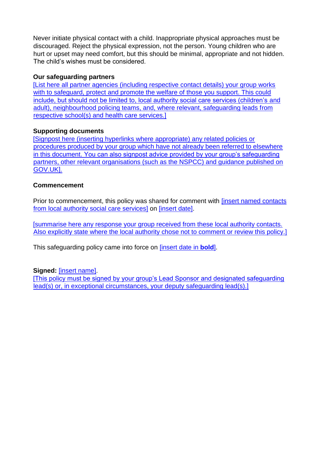Never initiate physical contact with a child. Inappropriate physical approaches must be discouraged. Reject the physical expression, not the person. Young children who are hurt or upset may need comfort, but this should be minimal, appropriate and not hidden. The child's wishes must be considered.

### **Our safeguarding partners**

[List here all partner agencies (including respective contact details) your group works with to safeguard, protect and promote the welfare of those you support. This could include, but should not be limited to, local authority social care services (children's and adult), neighbourhood policing teams, and, where relevant, safeguarding leads from respective school(s) and health care services.]

#### **Supporting documents**

[Signpost here (inserting hyperlinks where appropriate) any related policies or procedures produced by your group which have not already been referred to elsewhere in this document. You can also signpost advice provided by your group's safeguarding partners, other relevant organisations (such as the NSPCC) and guidance published on GOV.UK].

#### **Commencement**

Prior to commencement, this policy was shared for comment with *[insert named contacts*] from local authority social care services] on [insert date].

[summarise here any response your group received from these local authority contacts. Also explicitly state where the local authority chose not to comment or review this policy.]

This safeguarding policy came into force on [insert date in **bold**].

#### **Signed:** [insert name].

[This policy must be signed by your group's Lead Sponsor and designated safeguarding lead(s) or, in exceptional circumstances, your deputy safeguarding lead(s).]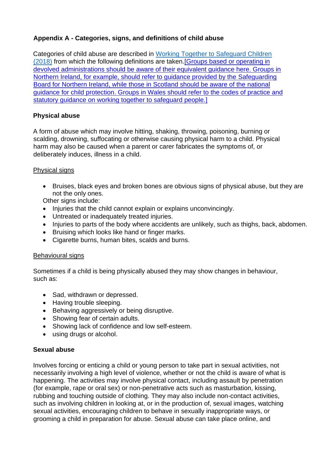# **Appendix A - Categories, signs, and definitions of child abuse**

Categories of child abuse are described in [Working Together to Safeguard Children](https://www.gov.uk/government/publications/working-together-to-safeguard-children--2) [\(2018\)](https://www.gov.uk/government/publications/working-together-to-safeguard-children--2) from which the following definitions are taken.[Groups based or operating in devolved administrations should be aware of their equivalent quidance here. Groups in Northern Ireland, for example, should refer to guidance provided by the [Safeguarding](http://www.safeguardingni.org/) [Board for Northern Ireland,](http://www.safeguardingni.org/) while those in Scotland should be aware of the [national](http://www.gov.scot/Publications/2014/05/3052/0) [guidance for child protection.](http://www.gov.scot/Publications/2014/05/3052/0) Groups in Wales should refer to the codes of practice and statutory guidance on [working together to safeguard people.](https://gov.wales/sharing-information-safeguard-children)]

## **Physical abuse**

A form of abuse which may involve hitting, shaking, throwing, poisoning, burning or scalding, drowning, suffocating or otherwise causing physical harm to a child. Physical harm may also be caused when a parent or carer fabricates the symptoms of, or deliberately induces, illness in a child.

### Physical signs

• Bruises, black eyes and broken bones are obvious signs of physical abuse, but they are not the only ones.

Other signs include:

- Injuries that the child cannot explain or explains unconvincingly.
- Untreated or inadequately treated injuries.
- Injuries to parts of the body where accidents are unlikely, such as thighs, back, abdomen.
- Bruising which looks like hand or finger marks.
- Cigarette burns, human bites, scalds and burns.

#### Behavioural signs

Sometimes if a child is being physically abused they may show changes in behaviour, such as:

- Sad, withdrawn or depressed.
- Having trouble sleeping.
- Behaving aggressively or being disruptive.
- Showing fear of certain adults.
- Showing lack of confidence and low self-esteem.
- using drugs or alcohol.

#### **Sexual abuse**

Involves forcing or enticing a child or young person to take part in sexual activities, not necessarily involving a high level of violence, whether or not the child is aware of what is happening. The activities may involve physical contact, including assault by penetration (for example, rape or oral sex) or non-penetrative acts such as masturbation, kissing, rubbing and touching outside of clothing. They may also include non-contact activities, such as involving children in looking at, or in the production of, sexual images, watching sexual activities, encouraging children to behave in sexually inappropriate ways, or grooming a child in preparation for abuse. Sexual abuse can take place online, and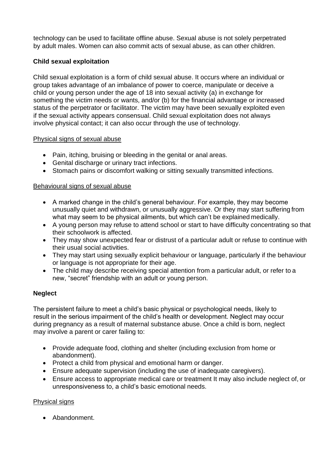technology can be used to facilitate offline abuse. Sexual abuse is not solely perpetrated by adult males. Women can also commit acts of sexual abuse, as can other children.

### **Child sexual exploitation**

Child sexual exploitation is a form of child sexual abuse. It occurs where an individual or group takes advantage of an imbalance of power to coerce, manipulate or deceive a child or young person under the age of 18 into sexual activity (a) in exchange for something the victim needs or wants, and/or (b) for the financial advantage or increased status of the perpetrator or facilitator. The victim may have been sexually exploited even if the sexual activity appears consensual. Child sexual exploitation does not always involve physical contact; it can also occur through the use of technology.

### Physical signs of sexual abuse

- Pain, itching, bruising or bleeding in the genital or anal areas.
- Genital discharge or urinary tract infections.
- Stomach pains or discomfort walking or sitting sexually transmitted infections.

#### Behavioural signs of sexual abuse

- A marked change in the child's general behaviour. For example, they may become unusually quiet and withdrawn, or unusually aggressive. Or they may start suffering from what may seem to be physical ailments, but which can't be explained medically.
- A young person may refuse to attend school or start to have difficulty concentrating so that their schoolwork is affected.
- They may show unexpected fear or distrust of a particular adult or refuse to continue with their usual social activities.
- They may start using sexually explicit behaviour or language, particularly if the behaviour or language is not appropriate for their age.
- The child may describe receiving special attention from a particular adult, or refer to a new, "secret" friendship with an adult or young person.

### **Neglect**

The persistent failure to meet a child's basic physical or psychological needs, likely to result in the serious impairment of the child's health or development. Neglect may occur during pregnancy as a result of maternal substance abuse. Once a child is born, neglect may involve a parent or carer failing to:

- Provide adequate food, clothing and shelter (including exclusion from home or abandonment).
- Protect a child from physical and emotional harm or danger.
- Ensure adequate supervision (including the use of inadequate caregivers).
- Ensure access to appropriate medical care or treatment It may also include neglect of, or unresponsiveness to, a child's basic emotional needs.

### Physical signs

• Abandonment.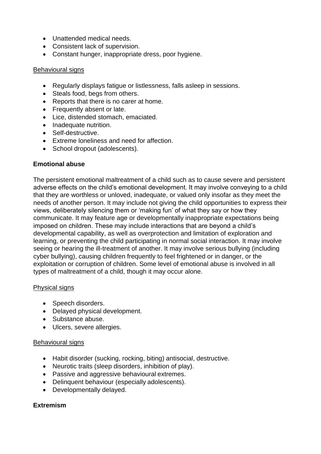- Unattended medical needs.
- Consistent lack of supervision.
- Constant hunger, inappropriate dress, poor hygiene.

### Behavioural signs

- Regularly displays fatigue or listlessness, falls asleep in sessions.
- Steals food, begs from others.
- Reports that there is no carer at home.
- Frequently absent or late.
- Lice, distended stomach, emaciated.
- Inadequate nutrition.
- Self-destructive.
- Extreme loneliness and need for affection.
- School dropout (adolescents).

## **Emotional abuse**

The persistent emotional maltreatment of a child such as to cause severe and persistent adverse effects on the child's emotional development. It may involve conveying to a child that they are worthless or unloved, inadequate, or valued only insofar as they meet the needs of another person. It may include not giving the child opportunities to express their views, deliberately silencing them or 'making fun' of what they say or how they communicate. It may feature age or developmentally inappropriate expectations being imposed on children. These may include interactions that are beyond a child's developmental capability, as well as overprotection and limitation of exploration and learning, or preventing the child participating in normal social interaction. It may involve seeing or hearing the ill-treatment of another. It may involve serious bullying (including cyber bullying), causing children frequently to feel frightened or in danger, or the exploitation or corruption of children. Some level of emotional abuse is involved in all types of maltreatment of a child, though it may occur alone.

### Physical signs

- Speech disorders.
- Delayed physical development.
- Substance abuse.
- Ulcers, severe allergies.

### Behavioural signs

- Habit disorder (sucking, rocking, biting) antisocial, destructive.
- Neurotic traits (sleep disorders, inhibition of play).
- Passive and aggressive behavioural extremes.
- Delinquent behaviour (especially adolescents).
- Developmentally delayed.

### **Extremism**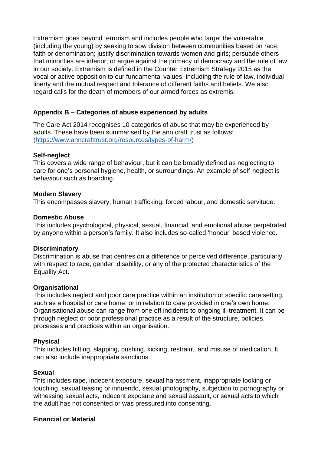Extremism goes beyond terrorism and includes people who target the vulnerable (including the young) by seeking to sow division between communities based on race, faith or denomination; justify discrimination towards women and girls; persuade others that minorities are inferior; or argue against the primacy of democracy and the rule of law in our society. Extremism is defined in the Counter Extremism Strategy 2015 as the vocal or active opposition to our fundamental values, including the rule of law, individual liberty and the mutual respect and tolerance of different faiths and beliefs. We also regard calls for the death of members of our armed forces as extremis.

### **Appendix B – Categories of abuse experienced by adults**

The Care Act 2014 recognises 10 categories of abuse that may be experienced by adults. These have been summarised by the ann craft trust as follows: [\(https://www.anncrafttrust.org/resources/types-of-harm/\)](https://www.anncrafttrust.org/resources/types-of-harm/)

#### **[Self-neglect](https://www.anncrafttrust.org/what-is-self-neglect/)**

This covers a wide range of behaviour, but it can be broadly defined as neglecting to care for one's personal hygiene, health, or surroundings. An example of self-neglect is behaviour such as hoarding.

#### **[Modern Slavery](https://www.anncrafttrust.org/what-is-modern-slavery/)**

This encompasses slavery, human trafficking, forced labour, and domestic servitude.

#### **[Domestic Abuse](https://www.anncrafttrust.org/disability-domestic-abuse/)**

This includes psychological, physical, sexual, financial, and emotional abuse perpetrated by anyone within a person's family. It also includes so-called 'honour' based violence.

#### **[Discriminatory](https://www.anncrafttrust.org/what-is-discriminatory-abuse/)**

Discrimination is abuse that centres on a difference or perceived difference, particularly with respect to race, gender, disability, or any of the protected characteristics of the Equality Act.

#### **[Organisational](https://www.anncrafttrust.org/institutional-abuse-definitions-signs-symptoms/)**

This includes neglect and poor care practice within an institution or specific care setting, such as a hospital or care home, or in relation to care provided in one's own home. Organisational abuse can range from one off incidents to ongoing ill-treatment. It can be through neglect or poor professional practice as a result of the structure, policies, processes and practices within an organisation.

#### **[Physical](https://www.anncrafttrust.org/what-is-physical-abuse/)**

This includes hitting, slapping, pushing, kicking, restraint, and misuse of medication. It can also include inappropriate sanctions.

#### **[Sexual](https://www.anncrafttrust.org/what-is-sexual-abuse/)**

This includes rape, indecent exposure, sexual harassment, inappropriate looking or touching, sexual teasing or innuendo, sexual photography, subjection to pornography or witnessing sexual acts, indecent exposure and sexual assault, or sexual acts to which the adult has not consented or was pressured into consenting.

#### **[Financial or Material](https://www.anncrafttrust.org/what-is-financial-abuse/)**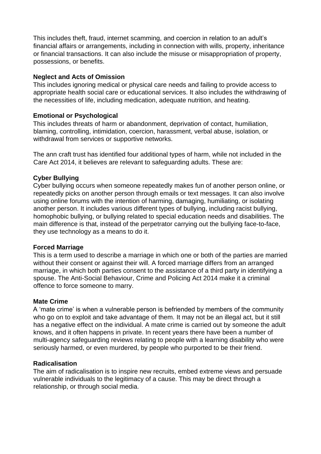This includes theft, fraud, internet scamming, and coercion in relation to an adult's financial affairs or arrangements, including in connection with wills, property, inheritance or financial transactions. It can also include the misuse or misappropriation of property, possessions, or benefits.

#### **[Neglect and Acts of Omission](https://www.anncrafttrust.org/what-is-neglect/)**

This includes ignoring medical or physical care needs and failing to provide access to appropriate health social care or educational services. It also includes the withdrawing of the necessities of life, including medication, adequate nutrition, and heating.

#### **[Emotional or Psychological](https://www.anncrafttrust.org/what-is-emotional-abuse/)**

This includes threats of harm or abandonment, deprivation of contact, humiliation, blaming, controlling, intimidation, coercion, harassment, verbal abuse, isolation, or withdrawal from services or supportive networks.

The ann craft trust has identified four additional types of harm, while not included in the Care Act 2014, it believes are relevant to safeguarding adults. These are:

#### **[Cyber Bullying](https://www.anncrafttrust.org/what-is-cyber-bullying/)**

Cyber bullying occurs when someone repeatedly makes fun of another person online, or repeatedly picks on another person through emails or text messages. It can also involve using online forums with the intention of harming, damaging, humiliating, or isolating another person. It includes various different types of bullying, including racist bullying, homophobic bullying, or bullying related to special education needs and disabilities. The main difference is that, instead of the perpetrator carrying out the bullying face-to-face, they use technology as a means to do it.

#### **[Forced Marriage](https://www.anncrafttrust.org/what-is-forced-marriage/)**

This is a term used to describe a marriage in which one or both of the parties are married without their consent or against their will. A forced marriage differs from an arranged marriage, in which both parties consent to the assistance of a third party in identifying a spouse. The Anti-Social Behaviour, Crime and Policing Act 2014 make it a criminal offence to force someone to marry.

#### **[Mate Crime](https://www.anncrafttrust.org/what-is-disability-hate-crime/)**

A 'mate crime' is when a vulnerable person is befriended by members of the community who go on to exploit and take advantage of them. It may not be an illegal act, but it still has a negative effect on the individual. A mate crime is carried out by someone the adult knows, and it often happens in private. In recent years there have been a number of multi-agency safeguarding reviews relating to people with a learning disability who were seriously harmed, or even murdered, by people who purported to be their friend.

#### **[Radicalisation](https://www.anncrafttrust.org/what-is-the-prevent-agenda/)**

The aim of radicalisation is to inspire new recruits, embed extreme views and persuade vulnerable individuals to the legitimacy of a cause. This may be direct through a relationship, or through social media.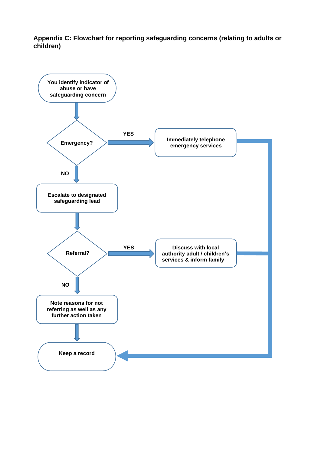**Appendix C: Flowchart for reporting safeguarding concerns (relating to adults or children)**

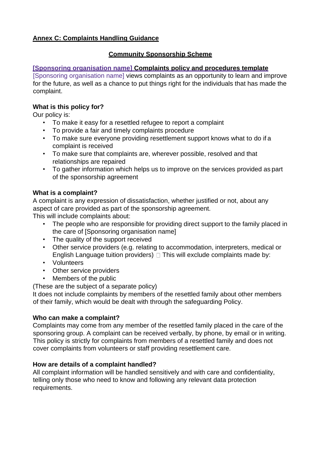### **Annex C: Complaints Handling Guidance**

## **Community Sponsorship Scheme**

### **[Sponsoring organisation name] Complaints policy and procedures template**

[Sponsoring organisation name] views complaints as an opportunity to learn and improve for the future, as well as a chance to put things right for the individuals that has made the complaint.

### **What is this policy for?**

Our policy is:

- To make it easy for a resettled refugee to report a complaint
- To provide a fair and timely complaints procedure
- To make sure everyone providing resettlement support knows what to do if a complaint is received
- To make sure that complaints are, wherever possible, resolved and that relationships are repaired
- To gather information which helps us to improve on the services provided as part of the sponsorship agreement

### **What is a complaint?**

A complaint is any expression of dissatisfaction, whether justified or not, about any aspect of care provided as part of the sponsorship agreement.

This will include complaints about:

- The people who are responsible for providing direct support to the family placed in the care of [Sponsoring organisation name]
- The quality of the support received
- Other service providers (e.g. relating to accommodation, interpreters, medical or English Language tuition providers)  $\Box$  This will exclude complaints made by:
- Volunteers
- Other service providers
- Members of the public

(These are the subject of a separate policy)

It does not include complaints by members of the resettled family about other members of their family, which would be dealt with through the safeguarding Policy.

### **Who can make a complaint?**

Complaints may come from any member of the resettled family placed in the care of the sponsoring group. A complaint can be received verbally, by phone, by email or in writing. This policy is strictly for complaints from members of a resettled family and does not cover complaints from volunteers or staff providing resettlement care.

### **How are details of a complaint handled?**

All complaint information will be handled sensitively and with care and confidentiality, telling only those who need to know and following any relevant data protection requirements.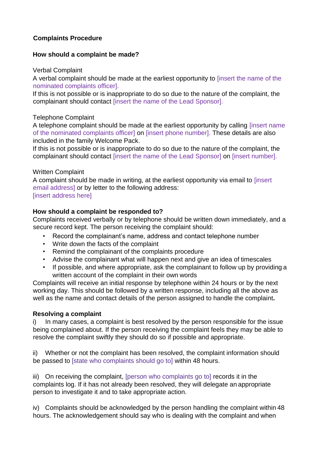### **Complaints Procedure**

### **How should a complaint be made?**

### Verbal Complaint

A verbal complaint should be made at the earliest opportunity to [insert the name of the nominated complaints officer].

If this is not possible or is inappropriate to do so due to the nature of the complaint, the complainant should contact [insert the name of the Lead Sponsor].

#### Telephone Complaint

A telephone complaint should be made at the earliest opportunity by calling [insert name of the nominated complaints officer] on [insert phone number]. These details are also included in the family Welcome Pack.

If this is not possible or is inappropriate to do so due to the nature of the complaint, the complainant should contact [insert the name of the Lead Sponsor] on [insert number].

#### Written Complaint

A complaint should be made in writing, at the earliest opportunity via email to [insert email address] or by letter to the following address:

### [insert address here]

### **How should a complaint be responded to?**

Complaints received verbally or by telephone should be written down immediately, and a secure record kept. The person receiving the complaint should:

- Record the complainant's name, address and contact telephone number
- Write down the facts of the complaint
- Remind the complainant of the complaints procedure
- Advise the complainant what will happen next and give an idea of timescales
- If possible, and where appropriate, ask the complainant to follow up by providing a written account of the complaint in their own words

Complaints will receive an initial response by telephone within 24 hours or by the next working day. This should be followed by a written response, including all the above as well as the name and contact details of the person assigned to handle the complaint**.**

#### **Resolving a complaint**

In many cases, a complaint is best resolved by the person responsible for the issue being complained about. If the person receiving the complaint feels they may be able to resolve the complaint swiftly they should do so if possible and appropriate.

ii) Whether or not the complaint has been resolved, the complaint information should be passed to [state who complaints should go to] within 48 hours.

iii) On receiving the complaint, [person who complaints go to] records it in the complaints log. If it has not already been resolved, they will delegate an appropriate person to investigate it and to take appropriate action.

iv) Complaints should be acknowledged by the person handling the complaint within 48 hours. The acknowledgement should say who is dealing with the complaint and when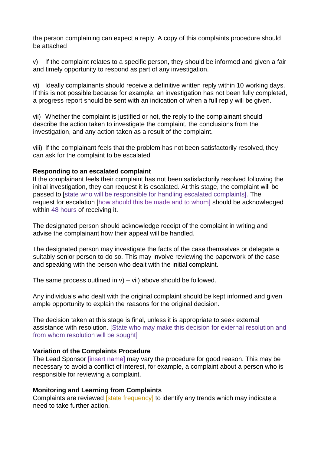the person complaining can expect a reply. A copy of this complaints procedure should be attached

v) If the complaint relates to a specific person, they should be informed and given a fair and timely opportunity to respond as part of any investigation.

vi) Ideally complainants should receive a definitive written reply within 10 working days. If this is not possible because for example, an investigation has not been fully completed, a progress report should be sent with an indication of when a full reply will be given.

vii) Whether the complaint is justified or not, the reply to the complainant should describe the action taken to investigate the complaint, the conclusions from the investigation, and any action taken as a result of the complaint.

viii) If the complainant feels that the problem has not been satisfactorily resolved, they can ask for the complaint to be escalated

#### **Responding to an escalated complaint**

If the complainant feels their complaint has not been satisfactorily resolved following the initial investigation, they can request it is escalated. At this stage, the complaint will be passed to [state who will be responsible for handling escalated complaints]. The request for escalation [how should this be made and to whom] should be acknowledged within 48 hours of receiving it.

The designated person should acknowledge receipt of the complaint in writing and advise the complainant how their appeal will be handled.

The designated person may investigate the facts of the case themselves or delegate a suitably senior person to do so. This may involve reviewing the paperwork of the case and speaking with the person who dealt with the initial complaint.

The same process outlined in  $v$ ) – vii) above should be followed.

Any individuals who dealt with the original complaint should be kept informed and given ample opportunity to explain the reasons for the original decision.

The decision taken at this stage is final, unless it is appropriate to seek external assistance with resolution. [State who may make this decision for external resolution and from whom resolution will be sought]

#### **Variation of the Complaints Procedure**

The Lead Sponsor *[insert name]* may vary the procedure for good reason. This may be necessary to avoid a conflict of interest, for example, a complaint about a person who is responsible for reviewing a complaint.

#### **Monitoring and Learning from Complaints**

Complaints are reviewed [state frequency] to identify any trends which may indicate a need to take further action.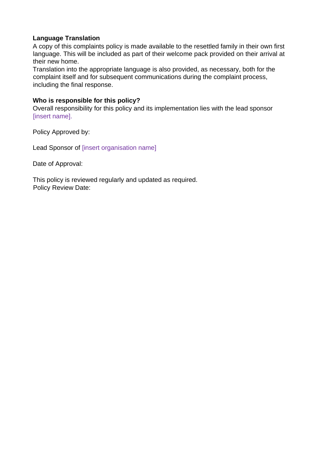#### **Language Translation**

A copy of this complaints policy is made available to the resettled family in their own first language. This will be included as part of their welcome pack provided on their arrival at their new home.

Translation into the appropriate language is also provided, as necessary, both for the complaint itself and for subsequent communications during the complaint process, including the final response.

#### **Who is responsible for this policy?**

Overall responsibility for this policy and its implementation lies with the lead sponsor [insert name].

Policy Approved by:

Lead Sponsor of [insert organisation name]

Date of Approval:

This policy is reviewed regularly and updated as required. Policy Review Date: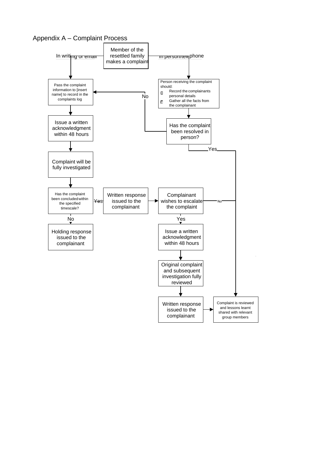Appendix A – Complaint Process

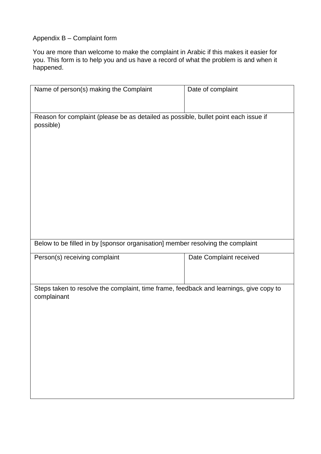#### Appendix B – Complaint form

You are more than welcome to make the complaint in Arabic if this makes it easier for you. This form is to help you and us have a record of what the problem is and when it happened.

| Name of person(s) making the Complaint                                                                | Date of complaint       |  |
|-------------------------------------------------------------------------------------------------------|-------------------------|--|
|                                                                                                       |                         |  |
| Reason for complaint (please be as detailed as possible, bullet point each issue if<br>possible)      |                         |  |
|                                                                                                       |                         |  |
|                                                                                                       |                         |  |
|                                                                                                       |                         |  |
|                                                                                                       |                         |  |
|                                                                                                       |                         |  |
|                                                                                                       |                         |  |
|                                                                                                       |                         |  |
|                                                                                                       |                         |  |
| Below to be filled in by [sponsor organisation] member resolving the complaint                        |                         |  |
| Person(s) receiving complaint                                                                         | Date Complaint received |  |
|                                                                                                       |                         |  |
| Steps taken to resolve the complaint, time frame, feedback and learnings, give copy to<br>complainant |                         |  |
|                                                                                                       |                         |  |
|                                                                                                       |                         |  |
|                                                                                                       |                         |  |
|                                                                                                       |                         |  |
|                                                                                                       |                         |  |
|                                                                                                       |                         |  |
|                                                                                                       |                         |  |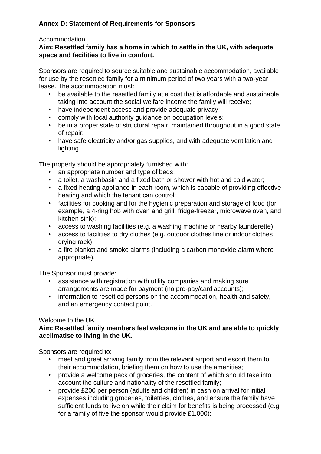# <span id="page-34-0"></span>**Annex D: Statement of Requirements for Sponsors**

#### Accommodation

### **Aim: Resettled family has a home in which to settle in the UK, with adequate space and facilities to live in comfort.**

Sponsors are required to source suitable and sustainable accommodation, available for use by the resettled family for a minimum period of two years with a two-year lease. The accommodation must:

- be available to the resettled family at a cost that is affordable and sustainable, taking into account the social welfare income the family will receive;
- have independent access and provide adequate privacy;
- comply with local authority guidance on occupation levels;
- be in a proper state of structural repair, maintained throughout in a good state of repair;
- have safe electricity and/or gas supplies, and with adequate ventilation and lighting.

The property should be appropriately furnished with:

- an appropriate number and type of beds;
- a toilet, a washbasin and a fixed bath or shower with hot and cold water;
- a fixed heating appliance in each room, which is capable of providing effective heating and which the tenant can control;
- facilities for cooking and for the hygienic preparation and storage of food (for example, a 4-ring hob with oven and grill, fridge-freezer, microwave oven, and kitchen sink);
- access to washing facilities (e.g. a washing machine or nearby launderette);
- access to facilities to dry clothes (e.g. outdoor clothes line or indoor clothes drying rack);
- a fire blanket and smoke alarms (including a carbon monoxide alarm where appropriate).

The Sponsor must provide:

- assistance with registration with utility companies and making sure arrangements are made for payment (no pre-pay/card accounts);
- information to resettled persons on the accommodation, health and safety, and an emergency contact point.

### Welcome to the UK

### **Aim: Resettled family members feel welcome in the UK and are able to quickly acclimatise to living in the UK.**

Sponsors are required to:

- meet and greet arriving family from the relevant airport and escort them to their accommodation, briefing them on how to use the amenities;
- provide a welcome pack of groceries, the content of which should take into account the culture and nationality of the resettled family;
- provide £200 per person (adults and children) in cash on arrival for initial expenses including groceries, toiletries, clothes, and ensure the family have sufficient funds to live on while their claim for benefits is being processed (e.g. for a family of five the sponsor would provide £1,000);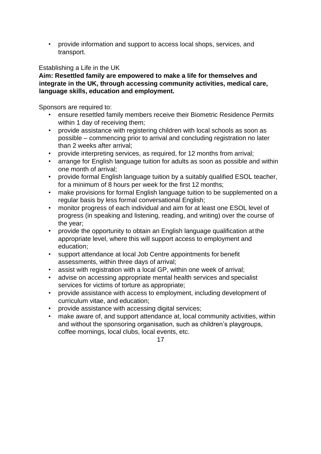• provide information and support to access local shops, services, and transport.

Establishing a Life in the UK

**Aim: Resettled family are empowered to make a life for themselves and integrate in the UK, through accessing community activities, medical care, language skills, education and employment.**

Sponsors are required to:

- ensure resettled family members receive their Biometric Residence Permits within 1 day of receiving them;
- provide assistance with registering children with local schools as soon as possible – commencing prior to arrival and concluding registration no later than 2 weeks after arrival;
- provide interpreting services, as required, for 12 months from arrival;
- arrange for English language tuition for adults as soon as possible and within one month of arrival;
- provide formal English language tuition by a suitably qualified ESOL teacher, for a minimum of 8 hours per week for the first 12 months;
- make provisions for formal English language tuition to be supplemented on a regular basis by less formal conversational English;
- monitor progress of each individual and aim for at least one ESOL level of progress (in speaking and listening, reading, and writing) over the course of the year;
- provide the opportunity to obtain an English language qualification at the appropriate level, where this will support access to employment and education;
- support attendance at local Job Centre appointments for benefit assessments, within three days of arrival;
- assist with registration with a local GP, within one week of arrival;
- advise on accessing appropriate mental health services and specialist services for victims of torture as appropriate;
- provide assistance with access to employment, including development of curriculum vitae, and education;
- provide assistance with accessing digital services;
- make aware of, and support attendance at, local community activities, within and without the sponsoring organisation, such as children's playgroups, coffee mornings, local clubs, local events, etc.

17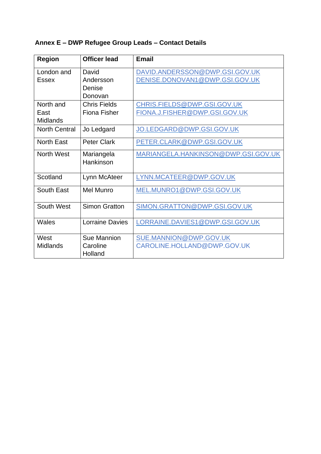# <span id="page-36-0"></span>**Annex E – DWP Refugee Group Leads – Contact Details**

| <b>Region</b>        | <b>Officer lead</b>    | <b>Email</b>                        |
|----------------------|------------------------|-------------------------------------|
| London and           | David                  | DAVID.ANDERSSON@DWP.GSI.GOV.UK      |
| <b>Essex</b>         | Andersson              | DENISE.DONOVAN1@DWP.GSI.GOV.UK      |
|                      | Denise                 |                                     |
|                      | Donovan                |                                     |
| North and            | <b>Chris Fields</b>    | CHRIS.FIELDS@DWP.GSI.GOV.UK         |
| East                 | <b>Fiona Fisher</b>    | FIONA.J.FISHER@DWP.GSI.GOV.UK       |
| Midlands             |                        |                                     |
| <b>North Central</b> | Jo Ledgard             | JO.LEDGARD@DWP.GSI.GOV.UK           |
| <b>North East</b>    | <b>Peter Clark</b>     | PETER.CLARK@DWP.GSI.GOV.UK          |
| <b>North West</b>    | Mariangela             | MARIANGELA.HANKINSON@DWP.GSI.GOV.UK |
|                      | Hankinson              |                                     |
| Scotland             | Lynn McAteer           | LYNN.MCATEER@DWP.GOV.UK             |
| South East           | Mel Munro              | MEL.MUNRO1@DWP.GSI.GOV.UK           |
| South West           | <b>Simon Gratton</b>   | SIMON.GRATTON@DWP.GSI.GOV.UK        |
| Wales                | <b>Lorraine Davies</b> | LORRAINE.DAVIES1@DWP.GSI.GOV.UK     |
|                      |                        |                                     |
| West                 | Sue Mannion            | SUE.MANNION@DWP.GOV.UK              |
| <b>Midlands</b>      | Caroline               | CAROLINE.HOLLAND@DWP.GOV.UK         |
|                      | Holland                |                                     |